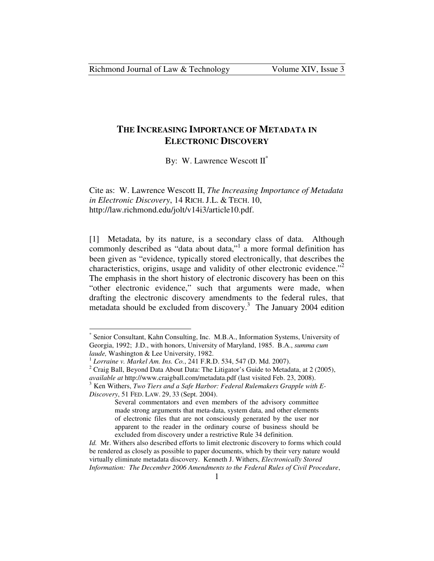# **THE INCREASING IMPORTANCE OF METADATA IN ELECTRONIC DISCOVERY**

By: W. Lawrence Wescott  $II^*$ 

Cite as: W. Lawrence Wescott II, *The Increasing Importance of Metadata in Electronic Discovery*, 14 RICH. J.L. & TECH. 10, http://law.richmond.edu/jolt/v14i3/article10.pdf.

[1] Metadata, by its nature, is a secondary class of data. Although commonly described as "data about data,"<sup>1</sup> a more formal definition has been given as "evidence, typically stored electronically, that describes the characteristics, origins, usage and validity of other electronic evidence."<sup>2</sup> The emphasis in the short history of electronic discovery has been on this "other electronic evidence," such that arguments were made, when drafting the electronic discovery amendments to the federal rules, that metadata should be excluded from discovery.<sup>3</sup> The January 2004 edition

<sup>\*</sup> Senior Consultant, Kahn Consulting, Inc. M.B.A., Information Systems, University of Georgia, 1992; J.D., with honors, University of Maryland, 1985. B.A., *summa cum laude,* Washington & Lee University, 1982.

<sup>1</sup> *Lorraine v. Markel Am. Ins. Co.*, 241 F.R.D. 534, 547 (D. Md. 2007).

<sup>&</sup>lt;sup>2</sup> Craig Ball, Beyond Data About Data: The Litigator's Guide to Metadata, at 2 (2005), *available at* http://www.craigball.com/metadata.pdf (last visited Feb. 23, 2008).

<sup>3</sup> Ken Withers, *Two Tiers and a Safe Harbor: Federal Rulemakers Grapple with E-Discovery*, 51 FED. LAW. 29, 33 (Sept. 2004).

Several commentators and even members of the advisory committee made strong arguments that meta-data, system data, and other elements of electronic files that are not consciously generated by the user nor apparent to the reader in the ordinary course of business should be excluded from discovery under a restrictive Rule 34 definition.

*Id.* Mr. Withers also described efforts to limit electronic discovery to forms which could be rendered as closely as possible to paper documents, which by their very nature would virtually eliminate metadata discovery. Kenneth J. Withers, *Electronically Stored Information: The December 2006 Amendments to the Federal Rules of Civil Procedure*,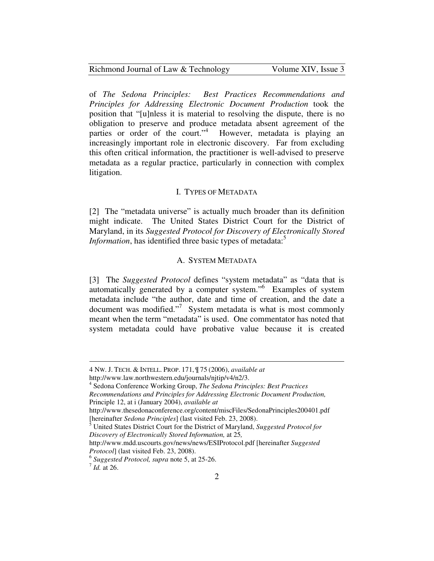| Richmond Journal of Law & Technology |  |
|--------------------------------------|--|
|--------------------------------------|--|

of *The Sedona Principles: Best Practices Recommendations and Principles for Addressing Electronic Document Production* took the position that "[u]nless it is material to resolving the dispute, there is no obligation to preserve and produce metadata absent agreement of the parties or order of the court."<sup>4</sup> However, metadata is playing an increasingly important role in electronic discovery. Far from excluding this often critical information, the practitioner is well-advised to preserve metadata as a regular practice, particularly in connection with complex litigation.

#### I. TYPES OF METADATA

[2] The "metadata universe" is actually much broader than its definition might indicate. The United States District Court for the District of Maryland, in its *Suggested Protocol for Discovery of Electronically Stored Information*, has identified three basic types of metadata:<sup>5</sup>

## A. SYSTEM METADATA

[3] The *Suggested Protocol* defines "system metadata" as "data that is automatically generated by a computer system."<sup>6</sup> Examples of system metadata include "the author, date and time of creation, and the date a document was modified."<sup>7</sup> System metadata is what is most commonly meant when the term "metadata" is used. One commentator has noted that system metadata could have probative value because it is created

<sup>4</sup> NW. J. TECH. & INTELL. PROP. 171, ¶ 75 (2006), *available at*

http://www.law.northwestern.edu/journals/njtip/v4/n2/3.

<sup>4</sup> Sedona Conference Working Group, *The Sedona Principles: Best Practices Recommendations and Principles for Addressing Electronic Document Production,* Principle 12, at i (January 2004), *available at*

http://www.thesedonaconference.org/content/miscFiles/SedonaPrinciples200401.pdf [hereinafter *Sedona Principles*] (last visited Feb. 23, 2008).

<sup>5</sup> United States District Court for the District of Maryland, *Suggested Protocol for Discovery of Electronically Stored Information,* at 25*,* 

http://www.mdd.uscourts.gov/news/news/ESIProtocol.pdf [hereinafter *Suggested Protocol*] (last visited Feb. 23, 2008).

<sup>6</sup> *Suggested Protocol, supra* note 5, at 25-26.

<sup>7</sup> *Id.* at 26.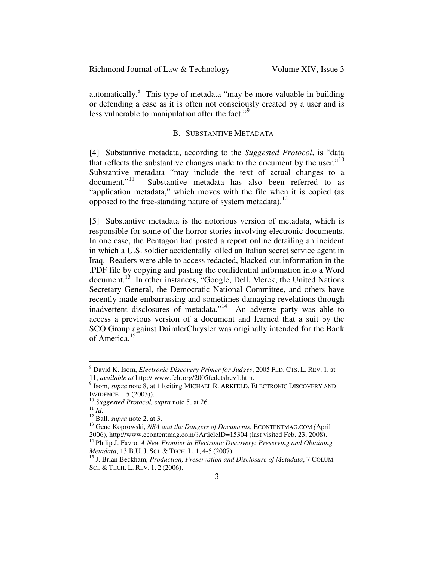| Richmond Journal of Law & Technology | Volume XIV, Issue 3 |
|--------------------------------------|---------------------|
|--------------------------------------|---------------------|

automatically.<sup>8</sup> This type of metadata "may be more valuable in building or defending a case as it is often not consciously created by a user and is less vulnerable to manipulation after the fact."<sup>9</sup>

### B. SUBSTANTIVE METADATA

[4] Substantive metadata, according to the *Suggested Protocol*, is "data that reflects the substantive changes made to the document by the user."<sup>10</sup> Substantive metadata "may include the text of actual changes to a document."<sup>11</sup> Substantive metadata has also been referred to as Substantive metadata has also been referred to as "application metadata," which moves with the file when it is copied (as opposed to the free-standing nature of system metadata).<sup>12</sup>

[5] Substantive metadata is the notorious version of metadata, which is responsible for some of the horror stories involving electronic documents. In one case, the Pentagon had posted a report online detailing an incident in which a U.S. soldier accidentally killed an Italian secret service agent in Iraq. Readers were able to access redacted, blacked-out information in the .PDF file by copying and pasting the confidential information into a Word document.<sup>13</sup> In other instances, "Google, Dell, Merck, the United Nations Secretary General, the Democratic National Committee, and others have recently made embarrassing and sometimes damaging revelations through inadvertent disclosures of metadata."<sup>14</sup> An adverse party was able to access a previous version of a document and learned that a suit by the SCO Group against DaimlerChrysler was originally intended for the Bank of America.<sup>15</sup>

<sup>8</sup> David K. Isom, *Electronic Discovery Primer for Judges*, 2005 FED. CTS. L. REV. 1, at 11, *available at* http:// www.fclr.org/2005fedctslrev1.htm.

<sup>&</sup>lt;sup>9</sup> Isom, *supra* note 8, at 11(citing MICHAEL R. ARKFELD, ELECTRONIC DISCOVERY AND EVIDENCE 1-5 (2003)).

<sup>10</sup> *Suggested Protocol, supra* note 5, at 26.

 $11$  *Id.* 

<sup>12</sup> Ball, *supra* note 2, at 3.

<sup>13</sup> Gene Koprowski, *NSA and the Dangers of Documents*, ECONTENTMAG.COM *(*April 2006), http://www.econtentmag.com/?ArticleID=15304 (last visited Feb. 23, 2008).

<sup>&</sup>lt;sup>14</sup> Philip J. Favro, *A New Frontier in Electronic Discovery: Preserving and Obtaining Metadata*, 13 B.U. J. SCI. & TECH. L. 1, 4-5 (2007).

<sup>15</sup> J. Brian Beckham, *Production, Preservation and Disclosure of Metadata*, 7 COLUM. SCI. & TECH. L. REV. 1, 2 (2006).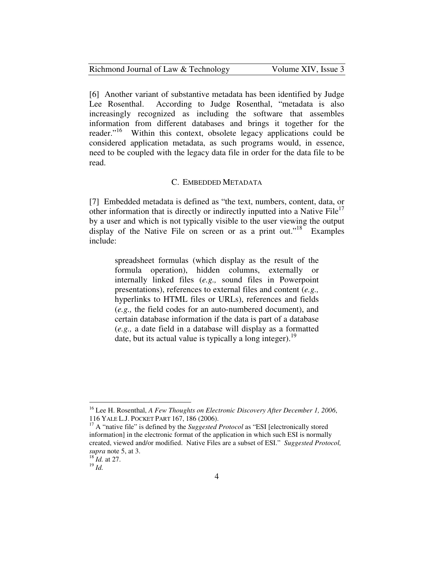| Richmond Journal of Law & Technology | Volume XIV, Issue 3 |
|--------------------------------------|---------------------|
|--------------------------------------|---------------------|

[6] Another variant of substantive metadata has been identified by Judge Lee Rosenthal. According to Judge Rosenthal, "metadata is also increasingly recognized as including the software that assembles information from different databases and brings it together for the reader."<sup>16</sup> Within this context, obsolete legacy applications could be considered application metadata, as such programs would, in essence, need to be coupled with the legacy data file in order for the data file to be read.

## C. EMBEDDED METADATA

[7] Embedded metadata is defined as "the text, numbers, content, data, or other information that is directly or indirectly inputted into a Native  $\text{File}^{\text{1}}$ by a user and which is not typically visible to the user viewing the output display of the Native File on screen or as a print out."<sup>18</sup> Examples include:

spreadsheet formulas (which display as the result of the formula operation), hidden columns, externally or internally linked files (*e.g.,* sound files in Powerpoint presentations), references to external files and content (*e.g.,*  hyperlinks to HTML files or URLs), references and fields (*e.g.,* the field codes for an auto-numbered document), and certain database information if the data is part of a database (*e.g.,* a date field in a database will display as a formatted date, but its actual value is typically a long integer).<sup>19</sup>

<sup>16</sup> Lee H. Rosenthal, *A Few Thoughts on Electronic Discovery After December 1, 2006*, 116 YALE L.J. POCKET PART 167, 186 (2006).

<sup>&</sup>lt;sup>17</sup> A "native file" is defined by the *Suggested Protocol* as "ESI [electronically stored information] in the electronic format of the application in which such ESI is normally created, viewed and/or modified. Native Files are a subset of ESI." *Suggested Protocol, supra* note 5, at 3.

<sup>18</sup> *Id.* at 27.

<sup>19</sup> *Id.*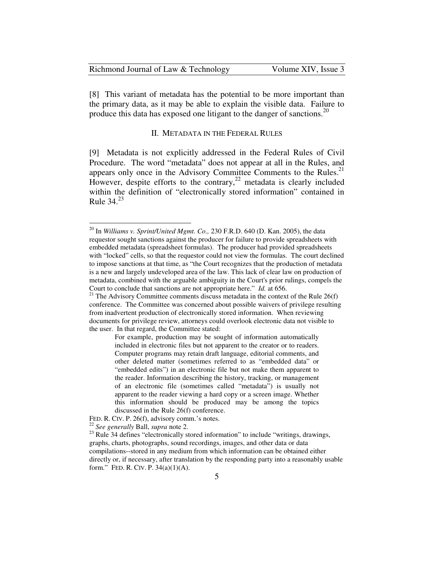| Richmond Journal of Law & Technology | Volume XIV, Issue 3 |
|--------------------------------------|---------------------|
|--------------------------------------|---------------------|

[8] This variant of metadata has the potential to be more important than the primary data, as it may be able to explain the visible data. Failure to produce this data has exposed one litigant to the danger of sanctions.<sup>20</sup>

#### II. METADATA IN THE FEDERAL RULES

[9] Metadata is not explicitly addressed in the Federal Rules of Civil Procedure. The word "metadata" does not appear at all in the Rules, and appears only once in the Advisory Committee Comments to the Rules. $21$ However, despite efforts to the contrary,  $2^2$  metadata is clearly included within the definition of "electronically stored information" contained in Rule  $34.<sup>23</sup>$ 

<sup>20</sup> In *Williams v. Sprint/United Mgmt. Co.,* 230 F.R.D. 640 (D. Kan. 2005), the data requestor sought sanctions against the producer for failure to provide spreadsheets with embedded metadata (spreadsheet formulas). The producer had provided spreadsheets with "locked" cells, so that the requestor could not view the formulas. The court declined to impose sanctions at that time, as "the Court recognizes that the production of metadata is a new and largely undeveloped area of the law. This lack of clear law on production of metadata, combined with the arguable ambiguity in the Court's prior rulings, compels the Court to conclude that sanctions are not appropriate here." *Id.* at 656.

<sup>2&</sup>lt;sup>1</sup> The Advisory Committee comments discuss metadata in the context of the Rule 26(f) conference. The Committee was concerned about possible waivers of privilege resulting from inadvertent production of electronically stored information. When reviewing documents for privilege review, attorneys could overlook electronic data not visible to the user. In that regard, the Committee stated:

For example, production may be sought of information automatically included in electronic files but not apparent to the creator or to readers. Computer programs may retain draft language, editorial comments, and other deleted matter (sometimes referred to as "embedded data" or "embedded edits") in an electronic file but not make them apparent to the reader. Information describing the history, tracking, or management of an electronic file (sometimes called "metadata") is usually not apparent to the reader viewing a hard copy or a screen image. Whether this information should be produced may be among the topics discussed in the Rule 26(f) conference.

FED. R. CIV. P. 26(f), advisory comm.'s notes.

<sup>22</sup> *See generally* Ball, *supra* note 2.

 $^{23}$  Rule 34 defines "electronically stored information" to include "writings, drawings, graphs, charts, photographs, sound recordings, images, and other data or data compilations--stored in any medium from which information can be obtained either directly or, if necessary, after translation by the responding party into a reasonably usable form." FED. R. CIV. P.  $34(a)(1)(A)$ .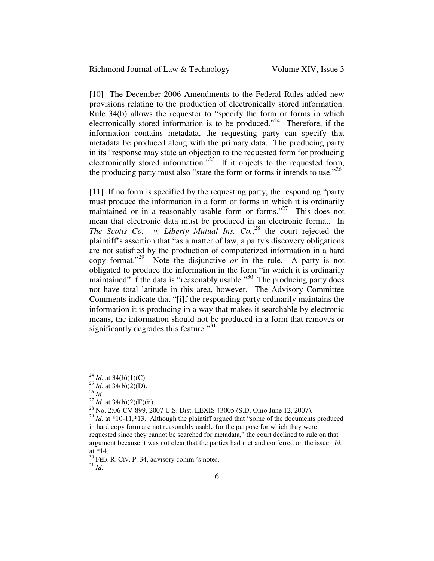| Richmond Journal of Law & Technology | Volume XIV, Issue 3 |
|--------------------------------------|---------------------|
|--------------------------------------|---------------------|

[10] The December 2006 Amendments to the Federal Rules added new provisions relating to the production of electronically stored information. Rule 34(b) allows the requestor to "specify the form or forms in which electronically stored information is to be produced."<sup>24</sup> Therefore, if the information contains metadata, the requesting party can specify that metadata be produced along with the primary data. The producing party in its "response may state an objection to the requested form for producing electronically stored information."<sup>25</sup> If it objects to the requested form, the producing party must also "state the form or forms it intends to use."<sup>26</sup>

[11] If no form is specified by the requesting party, the responding "party" must produce the information in a form or forms in which it is ordinarily maintained or in a reasonably usable form or forms."<sup>27</sup> This does not mean that electronic data must be produced in an electronic format. In *The Scotts Co. v. Liberty Mutual Ins. Co.*<sup>28</sup> the court rejected the plaintiff's assertion that "as a matter of law, a party's discovery obligations are not satisfied by the production of computerized information in a hard copy format."<sup>29</sup> Note the disjunctive *or* in the rule. A party is not obligated to produce the information in the form "in which it is ordinarily maintained" if the data is "reasonably usable."<sup>30</sup> The producing party does not have total latitude in this area, however. The Advisory Committee Comments indicate that "[i]f the responding party ordinarily maintains the information it is producing in a way that makes it searchable by electronic means, the information should not be produced in a form that removes or significantly degrades this feature."<sup>31</sup>

 $\overline{a}$ 

 $30$  FED. R. CIV. P. 34, advisory comm.'s notes.

<sup>31</sup> *Id.*

<sup>&</sup>lt;sup>24</sup> *Id.* at 34(b)(1)(C).

<sup>&</sup>lt;sup>25</sup> *Id.* at 34(b)(2)(D).

<sup>26</sup> *Id.*

<sup>27</sup> *Id.* at 34(b)(2)(E)(ii).

<sup>28</sup> No. 2:06-CV-899, 2007 U.S. Dist. LEXIS 43005 (S.D. Ohio June 12, 2007).

<sup>&</sup>lt;sup>29</sup> *Id.* at \*10-11,\*13. Although the plaintiff argued that "some of the documents produced in hard copy form are not reasonably usable for the purpose for which they were requested since they cannot be searched for metadata," the court declined to rule on that argument because it was not clear that the parties had met and conferred on the issue. *Id.*  at \*14.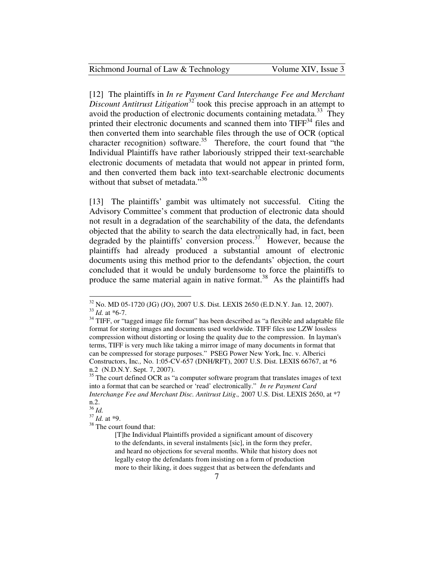[12] The plaintiffs in *In re Payment Card Interchange Fee and Merchant Discount Antitrust Litigation*<sup>32</sup> took this precise approach in an attempt to avoid the production of electronic documents containing metadata.<sup>33</sup> They printed their electronic documents and scanned them into TIFF<sup>34</sup> files and then converted them into searchable files through the use of OCR (optical character recognition) software.<sup>35</sup> Therefore, the court found that "the Individual Plaintiffs have rather laboriously stripped their text-searchable electronic documents of metadata that would not appear in printed form, and then converted them back into text-searchable electronic documents without that subset of metadata."<sup>36</sup>

[13] The plaintiffs' gambit was ultimately not successful. Citing the Advisory Committee's comment that production of electronic data should not result in a degradation of the searchability of the data, the defendants objected that the ability to search the data electronically had, in fact, been degraded by the plaintiffs' conversion process.<sup>37</sup> However, because the plaintiffs had already produced a substantial amount of electronic documents using this method prior to the defendants' objection, the court concluded that it would be unduly burdensome to force the plaintiffs to produce the same material again in native format.<sup>38</sup> As the plaintiffs had

<u>.</u>

<sup>32</sup> No. MD 05-1720 (JG) (JO), 2007 U.S. Dist. LEXIS 2650 (E.D.N.Y. Jan. 12, 2007). <sup>33</sup> *Id.* at \*6-7.

 $34$  TIFF, or "tagged image file format" has been described as "a flexible and adaptable file format for storing images and documents used worldwide. TIFF files use LZW lossless compression without distorting or losing the quality due to the compression. In layman's terms, TIFF is very much like taking a mirror image of many documents in format that can be compressed for storage purposes." PSEG Power New York, Inc. v. Alberici Constructors, Inc*.,* No. 1:05-CV-657 (DNH/RFT), 2007 U.S. Dist. LEXIS 66767, at \*6 n.2 (N.D.N.Y. Sept. 7, 2007).

<sup>&</sup>lt;sup>35</sup> The court defined OCR as "a computer software program that translates images of text into a format that can be searched or 'read' electronically." *In re Payment Card Interchange Fee and Merchant Disc. Antitrust Litig*.*,* 2007 U.S. Dist. LEXIS 2650, at \*7 n.2.

<sup>36</sup> *Id.* 

 $37 \frac{\text{10}}{\text{1d}}$ . at \*9.

<sup>&</sup>lt;sup>38</sup> The court found that:

<sup>[</sup>T]he Individual Plaintiffs provided a significant amount of discovery to the defendants, in several instalments [sic], in the form they prefer, and heard no objections for several months. While that history does not legally estop the defendants from insisting on a form of production more to their liking, it does suggest that as between the defendants and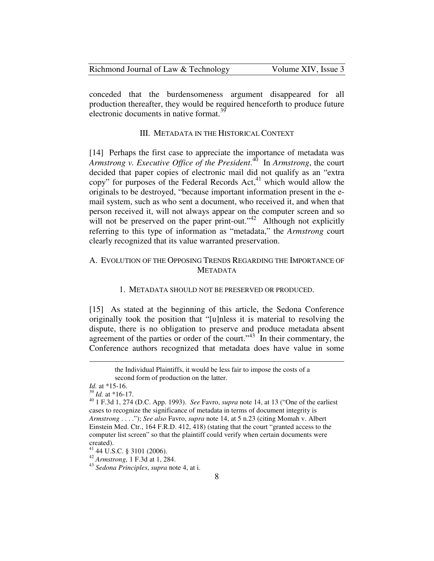| Richmond Journal of Law & Technology | Volume XIV, Issue 3 |
|--------------------------------------|---------------------|
|--------------------------------------|---------------------|

conceded that the burdensomeness argument disappeared for all production thereafter, they would be required henceforth to produce future electronic documents in native format. $39$ 

### III. METADATA IN THE HISTORICAL CONTEXT

[14] Perhaps the first case to appreciate the importance of metadata was *Armstrong v. Executive Office of the President*. <sup>40</sup> In *Armstrong*, the court decided that paper copies of electronic mail did not qualify as an "extra copy" for purposes of the Federal Records Act,  $41$  which would allow the originals to be destroyed, "because important information present in the email system, such as who sent a document, who received it, and when that person received it, will not always appear on the computer screen and so will not be preserved on the paper print-out."<sup>42</sup> Although not explicitly referring to this type of information as "metadata," the *Armstrong* court clearly recognized that its value warranted preservation.

## A. EVOLUTION OF THE OPPOSING TRENDS REGARDING THE IMPORTANCE OF **METADATA**

#### 1. METADATA SHOULD NOT BE PRESERVED OR PRODUCED.

[15] As stated at the beginning of this article, the Sedona Conference originally took the position that "[u]nless it is material to resolving the dispute, there is no obligation to preserve and produce metadata absent agreement of the parties or order of the court." $43$  In their commentary, the Conference authors recognized that metadata does have value in some

the Individual Plaintiffs, it would be less fair to impose the costs of a second form of production on the latter.

*Id.* at \*15-16.

<sup>39</sup> *Id.* at \*16-17.

<sup>40</sup> 1 F.3d 1, 274 (D.C. App. 1993). *See* Favro, *supra* note 14, at 13 ("One of the earliest cases to recognize the significance of metadata in terms of document integrity is *Armstrong* . . . ."); *See also* Favro, *supra* note 14, at 5 n.23 (citing Momah v. Albert Einstein Med. Ctr., 164 F.R.D. 412, 418) (stating that the court "granted access to the computer list screen" so that the plaintiff could verify when certain documents were created).

<sup>41</sup> 44 U.S.C. § 3101 (2006).

<sup>42</sup> *Armstrong,* 1 F.3d at 1, 284.

<sup>43</sup> *Sedona Principles*, *supra* note 4, at i.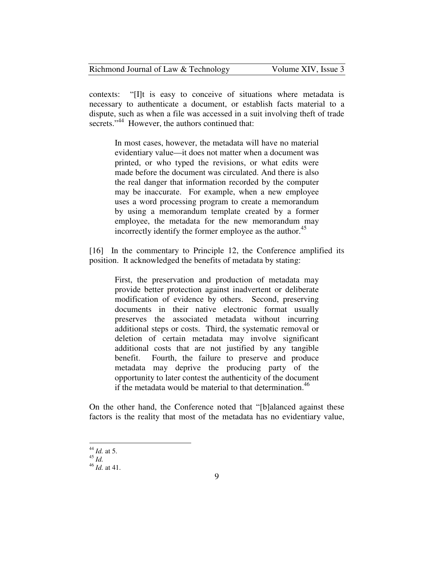| Richmond Journal of Law & Technology | Volume XIV, Issue 3 |
|--------------------------------------|---------------------|
|--------------------------------------|---------------------|

contexts: "[I]t is easy to conceive of situations where metadata is necessary to authenticate a document, or establish facts material to a dispute, such as when a file was accessed in a suit involving theft of trade secrets."<sup>44</sup> However, the authors continued that:

> In most cases, however, the metadata will have no material evidentiary value—it does not matter when a document was printed, or who typed the revisions, or what edits were made before the document was circulated. And there is also the real danger that information recorded by the computer may be inaccurate. For example, when a new employee uses a word processing program to create a memorandum by using a memorandum template created by a former employee, the metadata for the new memorandum may incorrectly identify the former employee as the author.<sup>45</sup>

[16] In the commentary to Principle 12, the Conference amplified its position. It acknowledged the benefits of metadata by stating:

> First, the preservation and production of metadata may provide better protection against inadvertent or deliberate modification of evidence by others. Second, preserving documents in their native electronic format usually preserves the associated metadata without incurring additional steps or costs. Third, the systematic removal or deletion of certain metadata may involve significant additional costs that are not justified by any tangible benefit. Fourth, the failure to preserve and produce metadata may deprive the producing party of the opportunity to later contest the authenticity of the document if the metadata would be material to that determination.<sup>46</sup>

On the other hand, the Conference noted that "[b]alanced against these factors is the reality that most of the metadata has no evidentiary value,

<sup>&</sup>lt;u>.</u> <sup>44</sup> *Id.* at 5.

 $45$   $\mu$ .

<sup>46</sup> *Id.* at 41.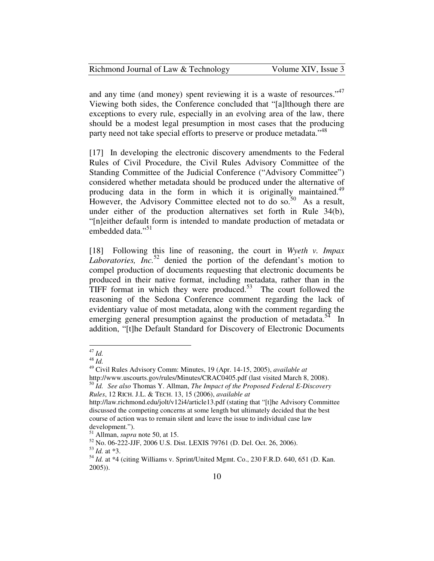| Richmond Journal of Law & Technology | Volume XIV, Issue 3 |
|--------------------------------------|---------------------|
|--------------------------------------|---------------------|

and any time (and money) spent reviewing it is a waste of resources."<sup>47</sup> Viewing both sides, the Conference concluded that "[a]lthough there are exceptions to every rule, especially in an evolving area of the law, there should be a modest legal presumption in most cases that the producing party need not take special efforts to preserve or produce metadata."<sup>48</sup>

[17] In developing the electronic discovery amendments to the Federal Rules of Civil Procedure, the Civil Rules Advisory Committee of the Standing Committee of the Judicial Conference ("Advisory Committee") considered whether metadata should be produced under the alternative of producing data in the form in which it is originally maintained.<sup>49</sup> However, the Advisory Committee elected not to do so.<sup>50</sup> As a result, under either of the production alternatives set forth in Rule 34(b), "[n]either default form is intended to mandate production of metadata or embedded data."<sup>51</sup>

[18] Following this line of reasoning, the court in *Wyeth v. Impax Laboratories, Inc.*<sup>52</sup> denied the portion of the defendant's motion to compel production of documents requesting that electronic documents be produced in their native format, including metadata, rather than in the TIFF format in which they were produced.<sup>53</sup> The court followed the reasoning of the Sedona Conference comment regarding the lack of evidentiary value of most metadata, along with the comment regarding the emerging general presumption against the production of metadata.<sup>54</sup> In addition, "[t]he Default Standard for Discovery of Electronic Documents

<sup>47</sup> *Id.* 

 $48 \overline{1d}$ 

<sup>49</sup> Civil Rules Advisory Comm: Minutes, 19 (Apr. 14-15, 2005), *available at* http://www.uscourts.gov/rules/Minutes/CRAC0405.pdf (last visited March 8, 2008). <sup>50</sup> *Id. See also* Thomas Y. Allman, *The Impact of the Proposed Federal E-Discovery* 

*Rules*, 12 RICH. J.L. & TECH. 13, 15 (2006), *available at*

http://law.richmond.edu/jolt/v12i4/article13.pdf (stating that "[t]he Advisory Committee discussed the competing concerns at some length but ultimately decided that the best course of action was to remain silent and leave the issue to individual case law development.").

<sup>51</sup> Allman, *supra* note 50, at 15.

<sup>52</sup> No. 06-222-JJF, 2006 U.S. Dist. LEXIS 79761 (D. Del. Oct. 26, 2006). <sup>53</sup> *Id.* at \*3.

<sup>54</sup> *Id.* at \*4 (citing Williams v. Sprint/United Mgmt. Co., 230 F.R.D. 640, 651 (D. Kan. 2005)).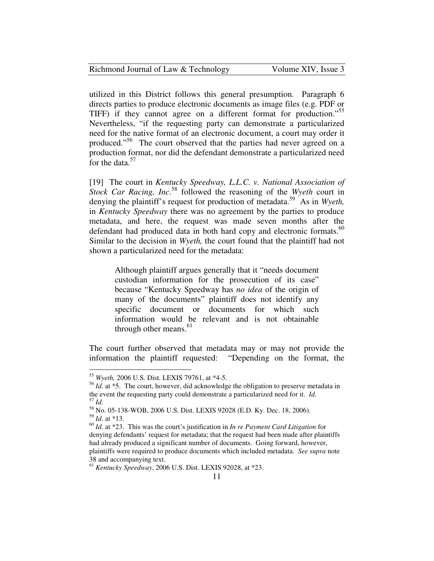| Richmond Journal of Law & Technology | Volume XIV, Issue 3 |
|--------------------------------------|---------------------|
|--------------------------------------|---------------------|

utilized in this District follows this general presumption. Paragraph 6 directs parties to produce electronic documents as image files (e.g. PDF or TIFF) if they cannot agree on a different format for production."<sup>55</sup> Nevertheless, "if the requesting party can demonstrate a particularized need for the native format of an electronic document, a court may order it produced."<sup>56</sup> The court observed that the parties had never agreed on a production format, nor did the defendant demonstrate a particularized need for the data. $57$ 

[19] The court in *Kentucky Speedway, L.L.C. v. National Association of Stock Car Racing, Inc*. <sup>58</sup> followed the reasoning of the *Wyeth* court in denying the plaintiff's request for production of metadata.<sup>59</sup> As in *Wyeth,* in *Kentucky Speedway* there was no agreement by the parties to produce metadata, and here, the request was made seven months after the defendant had produced data in both hard copy and electronic formats. $60$ Similar to the decision in *Wyeth,* the court found that the plaintiff had not shown a particularized need for the metadata:

Although plaintiff argues generally that it "needs document custodian information for the prosecution of its case" because "Kentucky Speedway has *no idea* of the origin of many of the documents" plaintiff does not identify any specific document or documents for which such information would be relevant and is not obtainable through other means. $61$ 

The court further observed that metadata may or may not provide the information the plaintiff requested: "Depending on the format, the

<sup>55</sup> *Wyeth,* 2006 U.S. Dist. LEXIS 79761, at \*4-5.

<sup>&</sup>lt;sup>56</sup> *Id.* at \*5. The court, however, did acknowledge the obligation to preserve metadata in the event the requesting party could demonstrate a particularized need for it. *Id.*  <sup>57</sup> *Id.* 

<sup>58</sup> No. 05-138-WOB, 2006 U.S. Dist. LEXIS 92028 (E.D. Ky. Dec. 18, 2006). <sup>59</sup> *Id.* at \*13.

<sup>60</sup> *Id.* at \*23. This was the court's justification in *In re Payment Card Litigation* for denying defendants' request for metadata; that the request had been made after plaintiffs had already produced a significant number of documents. Going forward, however, plaintiffs were required to produce documents which included metadata. *See supra* note 38 and accompanying text.

<sup>61</sup> *Kentucky Speedway*, 2006 U.S. Dist. LEXIS 92028, at \*23.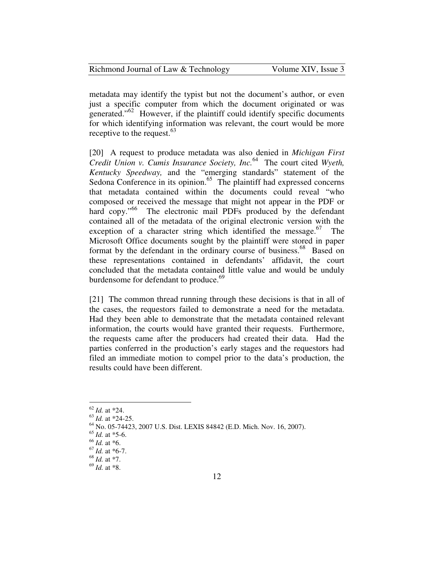| Richmond Journal of Law & Technology | Volume XIV, Issue 3 |
|--------------------------------------|---------------------|
|--------------------------------------|---------------------|

metadata may identify the typist but not the document's author, or even just a specific computer from which the document originated or was generated."<sup>62</sup> However, if the plaintiff could identify specific documents for which identifying information was relevant, the court would be more receptive to the request. $63$ 

[20] A request to produce metadata was also denied in *Michigan First Credit Union v. Cumis Insurance Society, Inc.*<sup>64</sup> The court cited *Wyeth, Kentucky Speedway,* and the "emerging standards" statement of the Sedona Conference in its opinion.<sup>65</sup> The plaintiff had expressed concerns that metadata contained within the documents could reveal "who composed or received the message that might not appear in the PDF or hard copy."<sup>66</sup> The electronic mail PDFs produced by the defendant contained all of the metadata of the original electronic version with the exception of a character string which identified the message.<sup>67</sup> The Microsoft Office documents sought by the plaintiff were stored in paper format by the defendant in the ordinary course of business.<sup>68</sup> Based on these representations contained in defendants' affidavit, the court concluded that the metadata contained little value and would be unduly burdensome for defendant to produce.<sup>69</sup>

[21] The common thread running through these decisions is that in all of the cases, the requestors failed to demonstrate a need for the metadata. Had they been able to demonstrate that the metadata contained relevant information, the courts would have granted their requests. Furthermore, the requests came after the producers had created their data. Had the parties conferred in the production's early stages and the requestors had filed an immediate motion to compel prior to the data's production, the results could have been different.

<sup>62</sup> *Id.* at \*24.

<sup>63</sup> *Id.* at \*24-25.

<sup>64</sup> No. 05-74423, 2007 U.S. Dist. LEXIS 84842 (E.D. Mich. Nov. 16, 2007).

<sup>65</sup> *Id.* at \*5-6.

<sup>66</sup> *Id.* at \*6.

<sup>67</sup> *Id.* at \*6-7.

<sup>68</sup> *Id.* at \*7.

<sup>69</sup> *Id.* at \*8.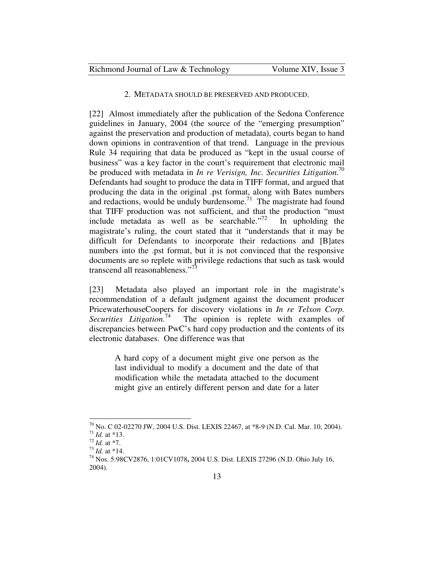#### 2. METADATA SHOULD BE PRESERVED AND PRODUCED.

[22] Almost immediately after the publication of the Sedona Conference guidelines in January, 2004 (the source of the "emerging presumption" against the preservation and production of metadata), courts began to hand down opinions in contravention of that trend. Language in the previous Rule 34 requiring that data be produced as "kept in the usual course of business" was a key factor in the court's requirement that electronic mail be produced with metadata in *In re Verisign, Inc. Securities Litigation*.<sup>70</sup> Defendants had sought to produce the data in TIFF format, and argued that producing the data in the original .pst format, along with Bates numbers and redactions, would be unduly burdensome.<sup> $71$ </sup> The magistrate had found that TIFF production was not sufficient, and that the production "must include metadata as well as be searchable."<sup>72</sup> In upholding the magistrate's ruling, the court stated that it "understands that it may be difficult for Defendants to incorporate their redactions and [B]ates numbers into the .pst format, but it is not convinced that the responsive documents are so replete with privilege redactions that such as task would transcend all reasonableness."<sup>73</sup>

[23] Metadata also played an important role in the magistrate's recommendation of a default judgment against the document producer PricewaterhouseCoopers for discovery violations in *In re Telxon Corp. Securities Litigation.*<sup>74</sup> The opinion is replete with examples of discrepancies between PwC's hard copy production and the contents of its electronic databases. One difference was that

> A hard copy of a document might give one person as the last individual to modify a document and the date of that modification while the metadata attached to the document might give an entirely different person and date for a later

<sup>70</sup> No. C 02-02270 JW, 2004 U.S. Dist. LEXIS 22467, at \*8-9 (N.D. Cal. Mar. 10, 2004). <sup>71</sup> *Id.* at \*13.

<sup>72</sup> *Id.* at \*7.

<sup>73</sup> *Id.* at \*14.

<sup>74</sup> Nos. 5:98CV2876, 1:01CV1078**,** 2004 U.S. Dist. LEXIS 27296 (N.D. Ohio July 16, 2004).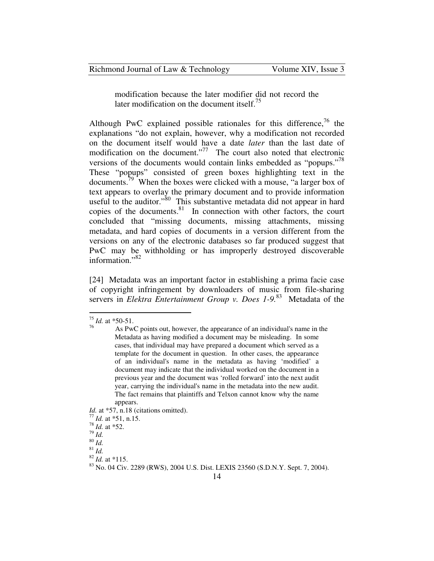modification because the later modifier did not record the later modification on the document itself.<sup>75</sup>

Although PwC explained possible rationales for this difference,  $\frac{76}{10}$  the explanations "do not explain, however, why a modification not recorded on the document itself would have a date *later* than the last date of modification on the document. $177$  The court also noted that electronic versions of the documents would contain links embedded as "popups."<sup>78</sup> These "popups" consisted of green boxes highlighting text in the documents.<sup>79</sup> When the boxes were clicked with a mouse, "a larger box of text appears to overlay the primary document and to provide information useful to the auditor."<sup>80</sup> This substantive metadata did not appear in hard copies of the documents. $81$  In connection with other factors, the court concluded that "missing documents, missing attachments, missing metadata, and hard copies of documents in a version different from the versions on any of the electronic databases so far produced suggest that PwC may be withholding or has improperly destroyed discoverable information."<sup>82</sup>

[24] Metadata was an important factor in establishing a prima facie case of copyright infringement by downloaders of music from file-sharing servers in *Elektra Entertainment Group v. Does 1-9.*<sup>83</sup> Metadata of the

 $\overline{a}$ 

*Id.* at \*57, n.18 (citations omitted).

<sup>77</sup> *Id.* at \*51, n.15.

<sup>78</sup> *Id.* at \*52.

<sup>79</sup> *Id.*   $\overline{^{80}$   $\overline{Id}$ .

 $81$  *Id.* 

<sup>75</sup> *Id.* at \*50-51.

<sup>&</sup>lt;sup>76</sup> As PwC points out, however, the appearance of an individual's name in the Metadata as having modified a document may be misleading. In some cases, that individual may have prepared a document which served as a template for the document in question. In other cases, the appearance of an individual's name in the metadata as having 'modified' a document may indicate that the individual worked on the document in a previous year and the document was 'rolled forward' into the next audit year, carrying the individual's name in the metadata into the new audit. The fact remains that plaintiffs and Telxon cannot know why the name appears.

<sup>82</sup> *Id.* at \*115.

<sup>83</sup> No. 04 Civ. 2289 (RWS), 2004 U.S. Dist. LEXIS 23560 (S.D.N.Y. Sept. 7, 2004).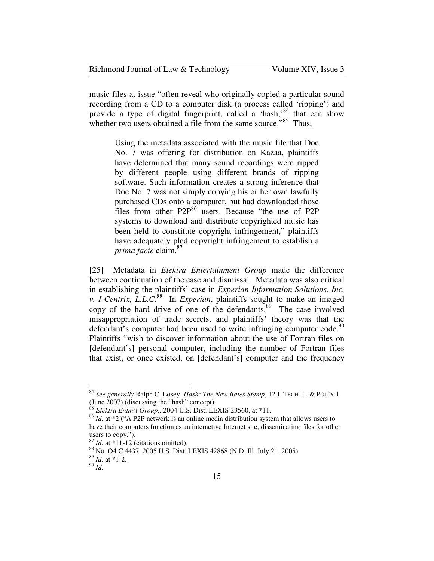| Richmond Journal of Law & Technology | Volume XIV, Issue 3 |
|--------------------------------------|---------------------|
|--------------------------------------|---------------------|

music files at issue "often reveal who originally copied a particular sound recording from a CD to a computer disk (a process called 'ripping') and provide a type of digital fingerprint, called a 'hash,'<sup>84</sup> that can show whether two users obtained a file from the same source."<sup>85</sup> Thus,

> Using the metadata associated with the music file that Doe No. 7 was offering for distribution on Kazaa, plaintiffs have determined that many sound recordings were ripped by different people using different brands of ripping software. Such information creates a strong inference that Doe No. 7 was not simply copying his or her own lawfully purchased CDs onto a computer, but had downloaded those files from other P2P<sup>86</sup> users. Because "the use of P2P systems to download and distribute copyrighted music has been held to constitute copyright infringement," plaintiffs have adequately pled copyright infringement to establish a *prima facie* claim.<sup>87</sup>

[25] Metadata in *Elektra Entertainment Group* made the difference between continuation of the case and dismissal. Metadata was also critical in establishing the plaintiffs' case in *Experian Information Solutions, Inc. v. I-Centrix, L.L.C.*<sup>88</sup> In *Experian*, plaintiffs sought to make an imaged copy of the hard drive of one of the defendants.<sup>89</sup> The case involved misappropriation of trade secrets, and plaintiffs' theory was that the defendant's computer had been used to write infringing computer code.<sup>90</sup> Plaintiffs "wish to discover information about the use of Fortran files on [defendant's] personal computer, including the number of Fortran files that exist, or once existed, on [defendant's] computer and the frequency

<sup>84</sup> *See generally* Ralph C. Losey, *Hash: The New Bates Stamp*, 12 J. TECH. L. & POL'Y 1 (June 2007) (discussing the "hash" concept).

<sup>85</sup> *Elektra Entm't Group,,* 2004 U.S. Dist. LEXIS 23560, at \*11.

<sup>&</sup>lt;sup>86</sup> *Id.* at \*2 ("A P2P network is an online media distribution system that allows users to have their computers function as an interactive Internet site, disseminating files for other users to copy.").

 $87$  *Id.* at  $*1\overline{1}$ -12 (citations omitted).

<sup>88</sup> No. O4 C 4437, 2005 U.S. Dist. LEXIS 42868 (N.D. Ill. July 21, 2005).

<sup>89</sup> *Id.* at \*1-2.

 $^{90}$   $^{14}$ .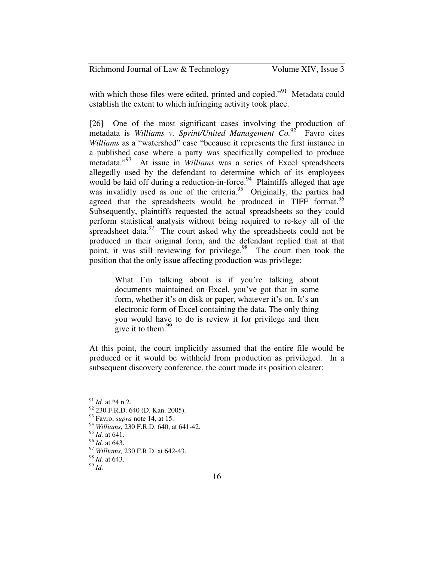| Richmond Journal of Law & Technology | Volume XIV, Issue 3 |
|--------------------------------------|---------------------|
|--------------------------------------|---------------------|

with which those files were edited, printed and copied."<sup>91</sup> Metadata could establish the extent to which infringing activity took place.

[26] One of the most significant cases involving the production of metadata is *Williams v. Sprint/United Management Co.*<sup>92</sup> Favro cites *Williams* as a "watershed" case "because it represents the first instance in a published case where a party was specifically compelled to produce metadata."<sup>93</sup> At issue in *Williams* was a series of Excel spreadsheets allegedly used by the defendant to determine which of its employees would be laid off during a reduction-in-force.<sup>94</sup> Plaintiffs alleged that age was invalidly used as one of the criteria.<sup>95</sup> Originally, the parties had agreed that the spreadsheets would be produced in TIFF format.<sup>96</sup> Subsequently, plaintiffs requested the actual spreadsheets so they could perform statistical analysis without being required to re-key all of the spreadsheet data. $\frac{97}{100}$  The court asked why the spreadsheets could not be produced in their original form, and the defendant replied that at that point, it was still reviewing for privilege. $98$  The court then took the position that the only issue affecting production was privilege:

> What I'm talking about is if you're talking about documents maintained on Excel, you've got that in some form, whether it's on disk or paper, whatever it's on. It's an electronic form of Excel containing the data. The only thing you would have to do is review it for privilege and then give it to them.  $99$

At this point, the court implicitly assumed that the entire file would be produced or it would be withheld from production as privileged. In a subsequent discovery conference, the court made its position clearer:

<sup>91</sup> *Id.* at \*4 n.2.

 $92$  230 F.R.D. 640 (D. Kan. 2005).

<sup>93</sup> Favro, *supra* note 14, at 15.

<sup>94</sup> *Williams*, 230 F.R.D. 640, at 641-42.

<sup>95</sup> *Id.* at 641.

<sup>96</sup> *Id.* at 643.

<sup>97</sup> *Williams,* 230 F.R.D. at 642-43.

<sup>98</sup> *Id.* at 643.

<sup>99</sup> *Id.*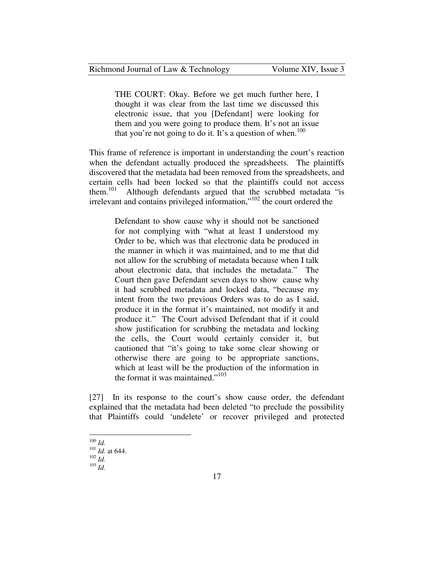THE COURT: Okay. Before we get much further here, I thought it was clear from the last time we discussed this electronic issue, that you [Defendant] were looking for them and you were going to produce them. It's not an issue that you're not going to do it. It's a question of when.<sup>100</sup>

This frame of reference is important in understanding the court's reaction when the defendant actually produced the spreadsheets. The plaintiffs discovered that the metadata had been removed from the spreadsheets, and certain cells had been locked so that the plaintiffs could not access them.<sup>101</sup> Although defendants argued that the scrubbed metadata "is Although defendants argued that the scrubbed metadata "is irrelevant and contains privileged information,"<sup>102</sup> the court ordered the

> Defendant to show cause why it should not be sanctioned for not complying with "what at least I understood my Order to be, which was that electronic data be produced in the manner in which it was maintained, and to me that did not allow for the scrubbing of metadata because when I talk about electronic data, that includes the metadata." The Court then gave Defendant seven days to show cause why it had scrubbed metadata and locked data, "because my intent from the two previous Orders was to do as I said, produce it in the format it's maintained, not modify it and produce it." The Court advised Defendant that if it could show justification for scrubbing the metadata and locking the cells, the Court would certainly consider it, but cautioned that "it's going to take some clear showing or otherwise there are going to be appropriate sanctions, which at least will be the production of the information in the format it was maintained." $103$

[27] In its response to the court's show cause order, the defendant explained that the metadata had been deleted "to preclude the possibility that Plaintiffs could 'undelete' or recover privileged and protected

<sup>-</sup> $^{100}$  *Id.* 

<sup>101</sup> *Id.* at 644.

<sup>102</sup> *Id.*

 $^{103}$  *Id.*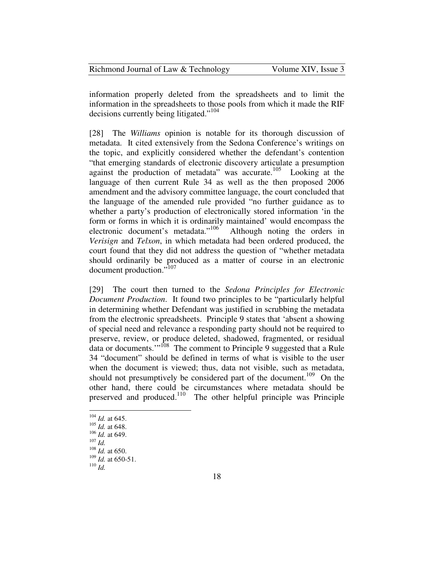| Richmond Journal of Law & Technology | Volume XIV, Issue 3 |
|--------------------------------------|---------------------|
|--------------------------------------|---------------------|

information properly deleted from the spreadsheets and to limit the information in the spreadsheets to those pools from which it made the RIF decisions currently being litigated."<sup>104</sup>

[28] The *Williams* opinion is notable for its thorough discussion of metadata. It cited extensively from the Sedona Conference's writings on the topic, and explicitly considered whether the defendant's contention "that emerging standards of electronic discovery articulate a presumption against the production of metadata" was accurate.<sup>105</sup> Looking at the language of then current Rule 34 as well as the then proposed 2006 amendment and the advisory committee language, the court concluded that the language of the amended rule provided "no further guidance as to whether a party's production of electronically stored information 'in the form or forms in which it is ordinarily maintained' would encompass the electronic document's metadata."<sup>106</sup> Although noting the orders in *Verisign* and *Telxon*, in which metadata had been ordered produced, the court found that they did not address the question of "whether metadata should ordinarily be produced as a matter of course in an electronic document production."<sup>107</sup>

[29] The court then turned to the *Sedona Principles for Electronic Document Production*. It found two principles to be "particularly helpful in determining whether Defendant was justified in scrubbing the metadata from the electronic spreadsheets. Principle 9 states that 'absent a showing of special need and relevance a responding party should not be required to preserve, review, or produce deleted, shadowed, fragmented, or residual data or documents.'"<sup>108</sup> The comment to Principle 9 suggested that a Rule 34 "document" should be defined in terms of what is visible to the user when the document is viewed; thus, data not visible, such as metadata, should not presumptively be considered part of the document.<sup>109</sup> On the other hand, there could be circumstances where metadata should be preserved and produced.<sup>110</sup> The other helpful principle was Principle

<sup>104</sup> *Id.* at 645.

<sup>105</sup> *Id.* at 648.

<sup>106</sup> *Id.* at 649.

 $107$  *Id.* 

<sup>108</sup> *Id.* at 650.

<sup>109</sup> *Id.* at 650-51.

 $110$  *Id.*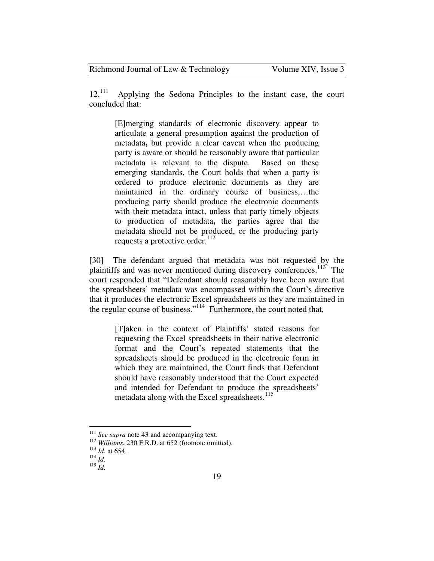$12.^{111}$  Applying the Sedona Principles to the instant case, the court concluded that:

[E]merging standards of electronic discovery appear to articulate a general presumption against the production of metadata**,** but provide a clear caveat when the producing party is aware or should be reasonably aware that particular metadata is relevant to the dispute. Based on these emerging standards, the Court holds that when a party is ordered to produce electronic documents as they are maintained in the ordinary course of business,…the producing party should produce the electronic documents with their metadata intact, unless that party timely objects to production of metadata**,** the parties agree that the metadata should not be produced, or the producing party requests a protective order. $^{112}$ 

[30] The defendant argued that metadata was not requested by the plaintiffs and was never mentioned during discovery conferences.<sup>113</sup> The court responded that "Defendant should reasonably have been aware that the spreadsheets' metadata was encompassed within the Court's directive that it produces the electronic Excel spreadsheets as they are maintained in the regular course of business."<sup>114</sup> Furthermore, the court noted that,

> [T]aken in the context of Plaintiffs' stated reasons for requesting the Excel spreadsheets in their native electronic format and the Court's repeated statements that the spreadsheets should be produced in the electronic form in which they are maintained, the Court finds that Defendant should have reasonably understood that the Court expected and intended for Defendant to produce the spreadsheets' metadata along with the Excel spreadsheets.<sup>115</sup>

<sup>&</sup>lt;sup>111</sup> See supra note 43 and accompanying text.

<sup>112</sup> *Williams*, 230 F.R.D. at 652 (footnote omitted).

<sup>113</sup> *Id.* at 654.

 $114$  *Id.* 

 $\frac{1}{115}$   $\frac{1}{1}{d}$ .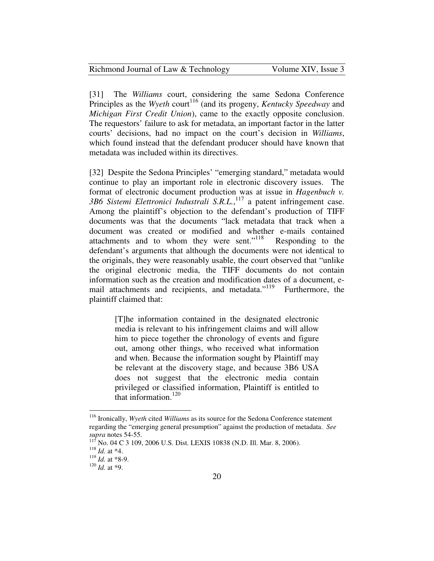| Richmond Journal of Law & Technology | Volume XI |  |
|--------------------------------------|-----------|--|
|--------------------------------------|-----------|--|

[31] The *Williams* court, considering the same Sedona Conference Principles as the *Wyeth* court<sup>116</sup> (and its progeny, *Kentucky Speedway* and *Michigan First Credit Union*), came to the exactly opposite conclusion. The requestors' failure to ask for metadata, an important factor in the latter courts' decisions, had no impact on the court's decision in *Williams*, which found instead that the defendant producer should have known that metadata was included within its directives.

V, Issue 3

[32] Despite the Sedona Principles' "emerging standard," metadata would continue to play an important role in electronic discovery issues. The format of electronic document production was at issue in *Hagenbuch v. 3B6 Sistemi Elettronici Industrali S.R.L.*, <sup>117</sup> a patent infringement case. Among the plaintiff's objection to the defendant's production of TIFF documents was that the documents "lack metadata that track when a document was created or modified and whether e-mails contained attachments and to whom they were sent."<sup>118</sup> Responding to the defendant's arguments that although the documents were not identical to the originals, they were reasonably usable, the court observed that "unlike the original electronic media, the TIFF documents do not contain information such as the creation and modification dates of a document, email attachments and recipients, and metadata."<sup>119</sup> Furthermore, the plaintiff claimed that:

[T]he information contained in the designated electronic media is relevant to his infringement claims and will allow him to piece together the chronology of events and figure out, among other things, who received what information and when. Because the information sought by Plaintiff may be relevant at the discovery stage, and because 3B6 USA does not suggest that the electronic media contain privileged or classified information, Plaintiff is entitled to that information.<sup>120</sup>

<sup>116</sup> Ironically, *Wyeth* cited *Williams* as its source for the Sedona Conference statement regarding the "emerging general presumption" against the production of metadata. *See supra* notes 54-55.

 $^{7}$  No. 04 C 3 109, 2006 U.S. Dist. LEXIS 10838 (N.D. Ill. Mar. 8, 2006).

<sup>118</sup> *Id.* at \*4.

<sup>119</sup> *Id.* at \*8-9.

<sup>120</sup> *Id.* at \*9.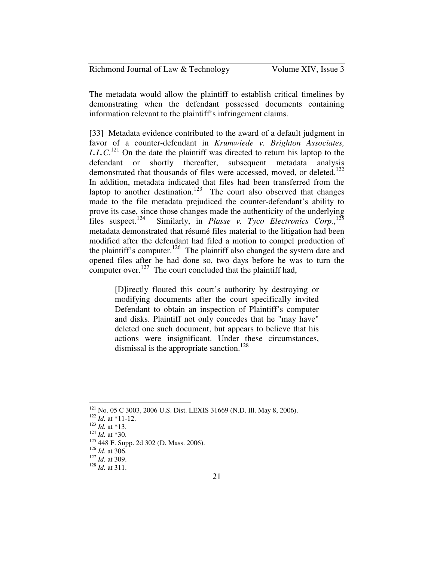| Richmond Journal of Law & Technology | Volume XIV, Issue 3 |
|--------------------------------------|---------------------|
|--------------------------------------|---------------------|

The metadata would allow the plaintiff to establish critical timelines by demonstrating when the defendant possessed documents containing information relevant to the plaintiff's infringement claims.

[33] Metadata evidence contributed to the award of a default judgment in favor of a counter-defendant in *Krumwiede v. Brighton Associates, L.L.C.*<sup>121</sup> On the date the plaintiff was directed to return his laptop to the defendant or shortly thereafter, subsequent metadata analysis demonstrated that thousands of files were accessed, moved, or deleted.<sup>122</sup> In addition, metadata indicated that files had been transferred from the laptop to another destination.<sup>123</sup> The court also observed that changes made to the file metadata prejudiced the counter-defendant's ability to prove its case, since those changes made the authenticity of the underlying files suspect.<sup>124</sup> Similarly, in *Plasse v. Tyco Electronics Corp.*,<sup>125</sup> files suspect.<sup>124</sup> Similarly, in *Plasse v. Tyco Electronics Corp.*,<sup>125</sup> metadata demonstrated that résumé files material to the litigation had been modified after the defendant had filed a motion to compel production of the plaintiff's computer.<sup>126</sup> The plaintiff also changed the system date and opened files after he had done so, two days before he was to turn the computer over. $127$  The court concluded that the plaintiff had,

> [D]irectly flouted this court's authority by destroying or modifying documents after the court specifically invited Defendant to obtain an inspection of Plaintiff's computer and disks. Plaintiff not only concedes that he "may have" deleted one such document, but appears to believe that his actions were insignificant. Under these circumstances, dismissal is the appropriate sanction.<sup>128</sup>

<sup>&</sup>lt;sup>121</sup> No. 05 C 3003, 2006 U.S. Dist. LEXIS 31669 (N.D. Ill. May 8, 2006).

<sup>122</sup> *Id.* at \*11-12.

<sup>123</sup> *Id.* at \*13.

<sup>124</sup> *Id.* at \*30.

<sup>125</sup> 448 F. Supp. 2d 302 (D. Mass. 2006).

<sup>126</sup> *Id.* at 306.

<sup>127</sup> *Id.* at 309.

<sup>128</sup> *Id.* at 311.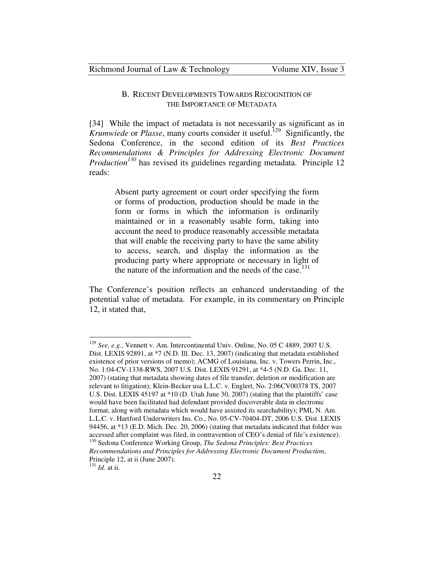## B. RECENT DEVELOPMENTS TOWARDS RECOGNITION OF THE IMPORTANCE OF METADATA

[34] While the impact of metadata is not necessarily as significant as in *Krumwiede* or *Plasse*, many courts consider it useful.<sup>129</sup> Significantly, the Sedona Conference, in the second edition of its *Best Practices Recommendations & Principles for Addressing Electronic Document Production<sup>130</sup>* has revised its guidelines regarding metadata. Principle 12 reads:

> Absent party agreement or court order specifying the form or forms of production, production should be made in the form or forms in which the information is ordinarily maintained or in a reasonably usable form, taking into account the need to produce reasonably accessible metadata that will enable the receiving party to have the same ability to access, search, and display the information as the producing party where appropriate or necessary in light of the nature of the information and the needs of the case.<sup>131</sup>

The Conference's position reflects an enhanced understanding of the potential value of metadata. For example, in its commentary on Principle 12, it stated that,

<sup>129</sup> *See, e.g.*, Vennett v. Am. Intercontinental Univ. Online, No. 05 C 4889, 2007 U.S. Dist. LEXIS 92891, at \*7 (N.D. Ill. Dec. 13, 2007) (indicating that metadata established existence of prior versions of memo); ACMG of Louisiana, Inc. v. Towers Perrin, Inc., No. 1:04-CV-1338-RWS, 2007 U.S. Dist. LEXIS 91291, at \*4-5 (N.D. Ga. Dec. 11, 2007) (stating that metadata showing dates of file transfer, deletion or modification are relevant to litigation); Klein-Becker usa L.L.C. v. Englert, No. 2:06CV00378 TS, 2007 U.S. Dist. LEXIS 45197 at \*10 (D. Utah June 30, 2007) (stating that the plaintiffs' case would have been facilitated had defendant provided discoverable data in electronic format, along with metadata which would have assisted its searchability); PML N. Am. L.L.C. v. Hartford Underwriters Ins. Co., No. 05-CV-70404-DT, 2006 U.S. Dist. LEXIS 94456, at \*13 (E.D. Mich. Dec. 20, 2006) (stating that metadata indicated that folder was accessed after complaint was filed, in contravention of CEO's denial of file's existence). <sup>130</sup> Sedona Conference Working Group, *The Sedona Principles: Best Practices* 

*Recommendations and Principles for Addressing Electronic Document Production*, Principle 12, at ii (June 2007).

<sup>131</sup> *Id.* at ii.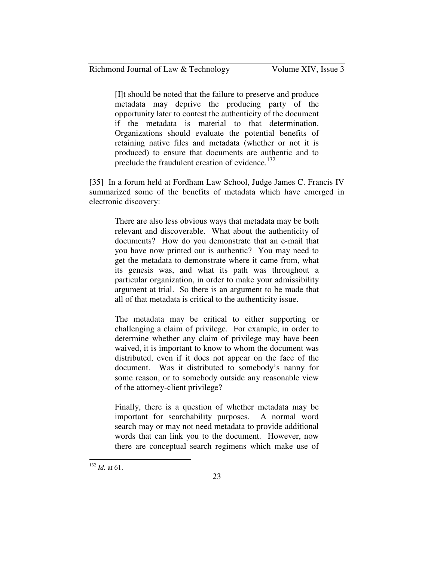[I]t should be noted that the failure to preserve and produce metadata may deprive the producing party of the opportunity later to contest the authenticity of the document if the metadata is material to that determination. Organizations should evaluate the potential benefits of retaining native files and metadata (whether or not it is produced) to ensure that documents are authentic and to preclude the fraudulent creation of evidence.<sup>132</sup>

[35] In a forum held at Fordham Law School, Judge James C. Francis IV summarized some of the benefits of metadata which have emerged in electronic discovery:

There are also less obvious ways that metadata may be both relevant and discoverable. What about the authenticity of documents? How do you demonstrate that an e-mail that you have now printed out is authentic? You may need to get the metadata to demonstrate where it came from, what its genesis was, and what its path was throughout a particular organization, in order to make your admissibility argument at trial. So there is an argument to be made that all of that metadata is critical to the authenticity issue.

The metadata may be critical to either supporting or challenging a claim of privilege. For example, in order to determine whether any claim of privilege may have been waived, it is important to know to whom the document was distributed, even if it does not appear on the face of the document. Was it distributed to somebody's nanny for some reason, or to somebody outside any reasonable view of the attorney-client privilege?

Finally, there is a question of whether metadata may be important for searchability purposes. A normal word search may or may not need metadata to provide additional words that can link you to the document. However, now there are conceptual search regimens which make use of

<sup>132</sup> *Id.* at 61.